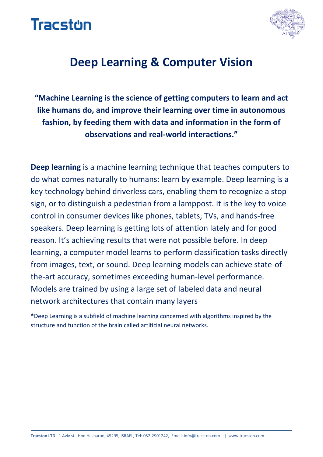



### **Deep Learning & Computer Vision**

**"Machine Learning is the science of getting computers to learn and act like humans do, and improve their learning over time in autonomous fashion, by feeding them with data and information in the form of observations and real-world interactions."**

**Deep learning** is a machine learning technique that teaches computers to do what comes naturally to humans: learn by example. Deep learning is a key technology behind driverless cars, enabling them to recognize a stop sign, or to distinguish a pedestrian from a lamppost. It is the key to voice control in consumer devices like phones, tablets, TVs, and hands-free speakers. Deep learning is getting lots of attention lately and for good reason. It's achieving results that were not possible before. In deep learning, a computer model learns to perform classification tasks directly from images, text, or sound. Deep learning models can achieve state-ofthe-art accuracy, sometimes exceeding human-level performance. Models are trained by using a large set of labeled data and neural network architectures that contain many layers

**\***Deep Learning is a subfield of machine learning concerned with algorithms inspired by the structure and function of the brain called artificial neural networks.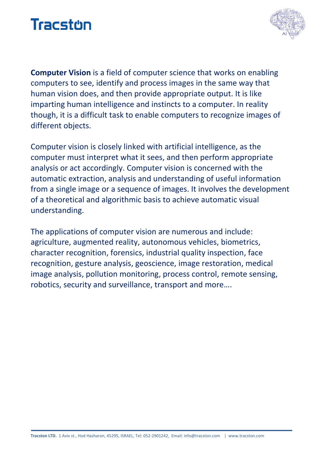



**Computer Vision** is a field of computer science that works on enabling computers to see, identify and process images in the same way that human vision does, and then provide appropriate output. It is like imparting human intelligence and instincts to a computer. In reality though, it is a difficult task to enable computers to recognize images of different objects.

Computer vision is closely linked with artificial intelligence, as the computer must interpret what it sees, and then perform appropriate analysis or act accordingly. Computer vision is concerned with the automatic extraction, analysis and understanding of useful information from a single image or a sequence of images. It involves the development of a theoretical and algorithmic basis to achieve automatic visual understanding.

The applications of computer vision are numerous and include: agriculture, augmented reality, autonomous vehicles, biometrics, character recognition, forensics, industrial quality inspection, face recognition, gesture analysis, geoscience, image restoration, medical image analysis, pollution monitoring, process control, remote sensing, robotics, security and surveillance, transport and more….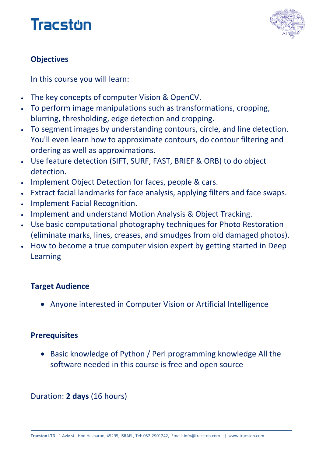



### **Objectives**

In this course you will learn:

- The key concepts of computer Vision & OpenCV.
- To perform image manipulations such as transformations, cropping, blurring, thresholding, edge detection and cropping.
- To segment images by understanding contours, circle, and line detection. You'll even learn how to approximate contours, do contour filtering and ordering as well as approximations.
- Use feature detection (SIFT, SURF, FAST, BRIEF & ORB) to do object detection.
- . Implement Object Detection for faces, people & cars.
- Extract facial landmarks for face analysis, applying filters and face swaps.
- Implement Facial Recognition.
- Implement and understand Motion Analysis & Object Tracking.
- Use basic computational photography techniques for Photo Restoration (eliminate marks, lines, creases, and smudges from old damaged photos).
- How to become a true computer vision expert by getting started in Deep Learning

#### **Target Audience**

Anyone interested in Computer Vision or Artificial Intelligence

#### **Prerequisites**

• Basic knowledge of Python / Perl programming knowledge All the software needed in this course is free and open source

#### Duration: **2 days** (16 hours)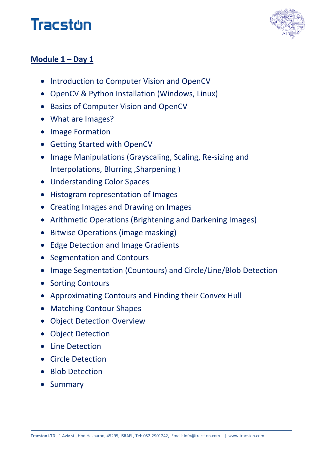# **Tracston**



### **Module 1 – Day 1**

- Introduction to Computer Vision and OpenCV
- OpenCV & Python Installation (Windows, Linux)
- **Basics of Computer Vision and OpenCV**
- What are Images?
- Image Formation
- Getting Started with OpenCV
- Image Manipulations (Grayscaling, Scaling, Re-sizing and Interpolations, Blurring ,Sharpening )
- Understanding Color Spaces
- Histogram representation of Images
- Creating Images and Drawing on Images
- Arithmetic Operations (Brightening and Darkening Images)
- Bitwise Operations (image masking)
- Edge Detection and Image Gradients
- Segmentation and Contours
- Image Segmentation (Countours) and Circle/Line/Blob Detection
- Sorting Contours
- Approximating Contours and Finding their Convex Hull
- Matching Contour Shapes
- Object Detection Overview
- Object Detection
- Line Detection
- Circle Detection
- Blob Detection
- Summary